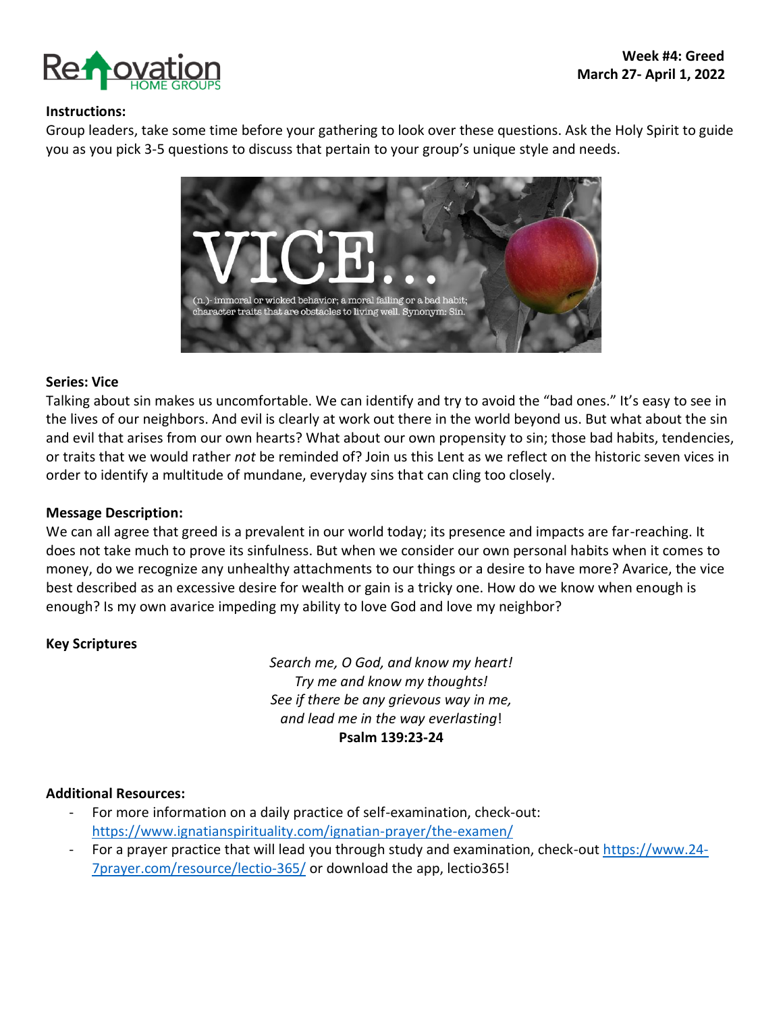

#### **Instructions:**

Group leaders, take some time before your gathering to look over these questions. Ask the Holy Spirit to guide you as you pick 3-5 questions to discuss that pertain to your group's unique style and needs.



#### **Series: Vice**

Talking about sin makes us uncomfortable. We can identify and try to avoid the "bad ones." It's easy to see in the lives of our neighbors. And evil is clearly at work out there in the world beyond us. But what about the sin and evil that arises from our own hearts? What about our own propensity to sin; those bad habits, tendencies, or traits that we would rather *not* be reminded of? Join us this Lent as we reflect on the historic seven vices in order to identify a multitude of mundane, everyday sins that can cling too closely.

#### **Message Description:**

We can all agree that greed is a prevalent in our world today; its presence and impacts are far-reaching. It does not take much to prove its sinfulness. But when we consider our own personal habits when it comes to money, do we recognize any unhealthy attachments to our things or a desire to have more? Avarice, the vice best described as an excessive desire for wealth or gain is a tricky one. How do we know when enough is enough? Is my own avarice impeding my ability to love God and love my neighbor?

#### **Key Scriptures**

*Search me, O God, and know my heart! Try me and know my thoughts! See if there be any grievous way in me, and lead me in the way everlasting*! **Psalm 139:23-24**

#### **Additional Resources:**

- For more information on a daily practice of self-examination, check-out: <https://www.ignatianspirituality.com/ignatian-prayer/the-examen/>
- For a prayer practice that will lead you through study and examination, check-out [https://www.24-](https://www.24-7prayer.com/resource/lectio-365/) [7prayer.com/resource/lectio-365/](https://www.24-7prayer.com/resource/lectio-365/) or download the app, lectio365!